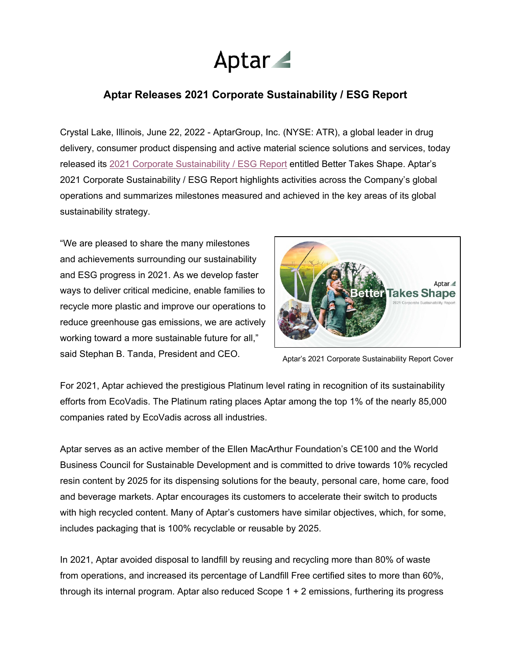

# **Aptar Releases 2021 Corporate Sustainability / ESG Report**

Crystal Lake, Illinois, June 22, 2022 - AptarGroup, Inc. (NYSE: ATR), a global leader in drug delivery, consumer product dispensing and active material science solutions and services, today released its 2021 [Corporate Sustainability](https://www.aptar.com/wp-content/uploads/2022/06/Aptar_2021_SustainabiltyReport_FNL.pdf) / ESG Report entitled Better Takes Shape. Aptar's 2021 Corporate Sustainability / ESG Report highlights activities across the Company's global operations and summarizes milestones measured and achieved in the key areas of its global sustainability strategy.

"We are pleased to share the many milestones and achievements surrounding our sustainability and ESG progress in 2021. As we develop faster ways to deliver critical medicine, enable families to recycle more plastic and improve our operations to reduce greenhouse gas emissions, we are actively working toward a more sustainable future for all," said Stephan B. Tanda, President and CEO.



Aptar's 2021 Corporate Sustainability Report Cover

For 2021, Aptar achieved the prestigious Platinum level rating in recognition of its sustainability efforts from EcoVadis. The Platinum rating places Aptar among the top 1% of the nearly 85,000 companies rated by EcoVadis across all industries.

Aptar serves as an active member of the Ellen MacArthur Foundation's CE100 and the World Business Council for Sustainable Development and is committed to drive towards 10% recycled resin content by 2025 for its dispensing solutions for the beauty, personal care, home care, food and beverage markets. Aptar encourages its customers to accelerate their switch to products with high recycled content. Many of Aptar's customers have similar objectives, which, for some, includes packaging that is 100% recyclable or reusable by 2025.

In 2021, Aptar avoided disposal to landfill by reusing and recycling more than 80% of waste from operations, and increased its percentage of Landfill Free certified sites to more than 60%, through its internal program. Aptar also reduced Scope 1 + 2 emissions, furthering its progress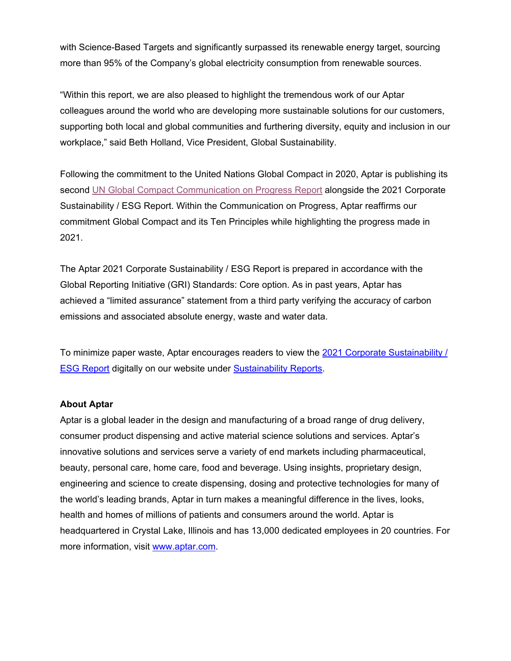with Science-Based Targets and significantly surpassed its renewable energy target, sourcing more than 95% of the Company's global electricity consumption from renewable sources.

"Within this report, we are also pleased to highlight the tremendous work of our Aptar colleagues around the world who are developing more sustainable solutions for our customers, supporting both local and global communities and furthering diversity, equity and inclusion in our workplace," said Beth Holland, Vice President, Global Sustainability.

Following the commitment to the United Nations Global Compact in 2020, Aptar is publishing its second [UN Global Compact Communication on Progress Report](https://www.aptar.com/wp-content/uploads/2022/06/2022-Aptar-Global-Compact-Report_Final.pdf) alongside the 2021 Corporate Sustainability / ESG Report. Within the Communication on Progress, Aptar reaffirms our commitment Global Compact and its Ten Principles while highlighting the progress made in 2021.

The Aptar 2021 Corporate Sustainability / ESG Report is prepared in accordance with the Global Reporting Initiative (GRI) Standards: Core option. As in past years, Aptar has achieved a "limited assurance" statement from a third party verifying the accuracy of carbon emissions and associated absolute energy, waste and water data.

To minimize paper waste, Aptar encourages readers to view the 2021 Corporate Sustainability / [ESG Report](https://www.aptar.com/wp-content/uploads/2022/06/Aptar_2021_SustainabiltyReport_FNL.pdf) digitally on our website under [Sustainability](https://www.aptar.com/sustainability/sustainability-reports/) Reports.

### **About Aptar**

Aptar is a global leader in the design and manufacturing of a broad range of drug delivery, consumer product dispensing and active material science solutions and services. Aptar's innovative solutions and services serve a variety of end markets including pharmaceutical, beauty, personal care, home care, food and beverage. Using insights, proprietary design, engineering and science to create dispensing, dosing and protective technologies for many of the world's leading brands, Aptar in turn makes a meaningful difference in the lives, looks, health and homes of millions of patients and consumers around the world. Aptar is headquartered in Crystal Lake, Illinois and has 13,000 dedicated employees in 20 countries. For more information, visit [www.aptar.com.](http://www.aptar.com/)